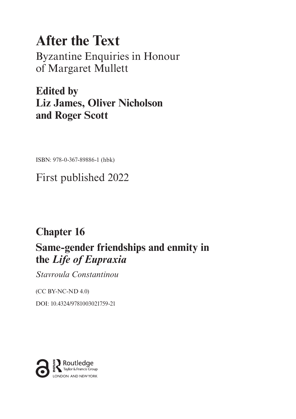# **After the Text** Byzantine Enquiries in Honour of Margaret Mullett

**Edited by Liz James, Oliver Nicholson and Roger Scott**

ISBN: 978-0-367-89886-1 (hbk)

First published 2022

## **Chapter 16**

### **Same-gender friendships and enmity in the** *Life of Eupraxia*

*Stavroula Constantinou*

(CC BY-NC-ND 4.0)

[DOI: 10.4324/9781003021759-21](https://doi.org/10.4324/9781003021759-21)

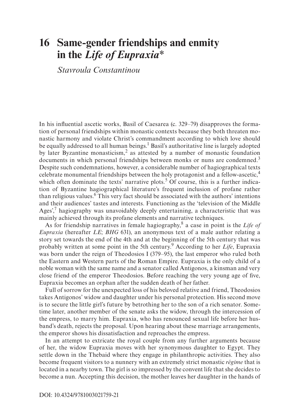### <span id="page-1-0"></span>**16 Same-gender friendships and enmity in the** *Life of Eupraxia[\\*](#page-13-0)*

*Stavroula Constantinou*

In his influential ascetic works, Basil of Caesarea (c. 329–79) disapproves the formation of personal friendships within monastic contexts because they both threaten monastic harmony and violate Christ's commandment according to which love should be equally addressed to all human beings.<sup>1</sup> Basil's authoritative line is largely adopted by later Byzantine monasticism,<sup>[2](#page-13-0)</sup> as attested by a number of monastic foundation documents in which personal friendships between monks or nuns are condemned.<sup>3</sup> Despite such condemnations, however, a considerable number of hagiographical texts celebrate monumental friendships between the holy protagonist and a fellow-ascetic[,4](#page-14-0) which often dominate the texts' narrative plots.<sup>5</sup> Of course, this is a further indication of Byzantine hagiographical literature's frequent inclusion of profane rather than religious values.<sup>6</sup> This very fact should be associated with the authors' intentions and their audiences' tastes and interests. Functioning as the 'television of the Middle Ages',<sup>7</sup> hagiography was unavoidably deeply entertaining, a characteristic that was mainly achieved through its profane elements and narrative techniques.

As for friendship narratives in female hagiography,<sup>8</sup> a case in point is the Life of *Eupraxia* (hereafter *LE*; *BHG* 631), an anonymous text of a male author relating a story set towards the end of the 4th and at the beginning of the 5th century that was probably written at some point in the 5th century[.9](#page-14-0) According to her *Life*, Eupraxia was born under the reign of Theodosios I (379–95), the last emperor who ruled both the Eastern and Western parts of the Roman Empire. Eupraxia is the only child of a noble woman with the same name and a senator called Antigonos, a kinsman and very close friend of the emperor Theodosios. Before reaching the very young age of five, Eupraxia becomes an orphan after the sudden death of her father.

Full of sorrow for the unexpected loss of his beloved relative and friend, Theodosios takes Antigonos' widow and daughter under his personal protection. His second move is to secure the little girl's future by betrothing her to the son of a rich senator. Sometime later, another member of the senate asks the widow, through the intercession of the empress, to marry him. Eupraxia, who has renounced sexual life before her husband's death, rejects the proposal. Upon hearing about these marriage arrangements, the emperor shows his dissatisfaction and reproaches the empress.

In an attempt to extricate the royal couple from any further arguments because of her, the widow Eupraxia moves with her synonymous daughter to Egypt. They settle down in the Thebaid where they engage in philanthropic activities. They also become frequent visitors to a nunnery with an extremely strict monastic *régime* that is located in a nearby town. The girl is so impressed by the convent life that she decides to become a nun. Accepting this decision, the mother leaves her daughter in the hands of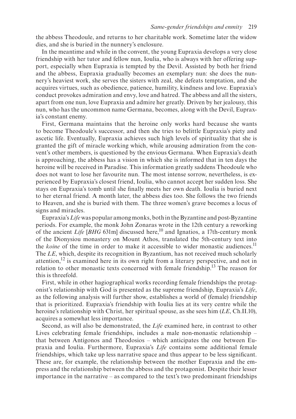<span id="page-2-0"></span>the abbess Theodoule, and returns to her charitable work. Sometime later the widow dies, and she is buried in the nunnery's enclosure.

In the meantime and while in the convent, the young Eupraxia develops a very close friendship with her tutor and fellow nun, Ioulia, who is always with her offering support, especially when Eupraxia is tempted by the Devil. Assisted by both her friend and the abbess, Eupraxia gradually becomes an exemplary nun: she does the nunnery's heaviest work, she serves the sisters with zeal, she defeats temptation, and she acquires virtues, such as obedience, patience, humility, kindness and love. Eupraxia's conduct provokes admiration and envy, love and hatred. The abbess and all the sisters, apart from one nun, love Eupraxia and admire her greatly. Driven by her jealousy, this nun, who has the uncommon name Germana, becomes, along with the Devil, Eupraxia's constant enemy.

First, Germana maintains that the heroine only works hard because she wants to become Theodoule's successor, and then she tries to belittle Eupraxia's piety and ascetic life. Eventually, Eupraxia achieves such high levels of spirituality that she is granted the gift of miracle working which, while arousing admiration from the convent's other members, is questioned by the envious Germana. When Eupraxia's death is approaching, the abbess has a vision in which she is informed that in ten days the heroine will be received in Paradise. This information greatly saddens Theodoule who does not want to lose her favourite nun. The most intense sorrow, nevertheless, is experienced by Eupraxia's closest friend, Ioulia, who cannot accept her sudden loss. She stays on Eupraxia's tomb until she finally meets her own death. Ioulia is buried next to her eternal friend. A month later, the abbess dies too. She follows the two friends to Heaven, and she is buried with them. The three women's grave becomes a locus of signs and miracles.

Eupraxia's *Life* was popular among monks, both in the Byzantine and post-Byzantine periods. For example, the monk John Zonaras wrote in the 12th century a reworking of the ancient *Life* [*BHG* 631m] discussed here,<sup>10</sup> and Ignatios, a 17th-century monk of the Dionysiou monastery on Mount Athos, translated the 5th-century text into the *koine* of the time in order to make it accessible to wider monastic audiences.<sup>11</sup> The *LE*, which, despite its recognition in Byzantium, has not received much scholarly attention[,12](#page-14-0) is examined here in its own right from a literary perspective, and not in relation to other monastic texts concerned with female friendship[.13](#page-14-0) The reason for this is threefold.

First, while in other hagiographical works recording female friendships the protagonist's relationship with God is presented as the supreme friendship, Eupraxia's *Life*, as the following analysis will further show, establishes a world of (female) friendship that is prioritized. Eupraxia's friendship with Ioulia lies at its very centre while the heroine's relationship with Christ, her spiritual spouse, as she sees him (*LE*, Ch.II.10), acquires a somewhat less importance.

Second, as will also be demonstrated, the *Life* examined here, in contrast to other Lives celebrating female friendships, includes a male non-monastic relationship – that between Antigonos and Theodosios – which anticipates the one between Eupraxia and Ioulia. Furthermore, Eupraxia's *Life* contains some additional female friendships, which take up less narrative space and thus appear to be less significant. These are, for example, the relationship between the mother Eupraxia and the empress and the relationship between the abbess and the protagonist. Despite their lesser importance in the narrative – as compared to the text's two predominant friendships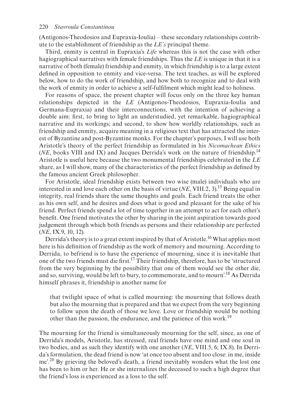<span id="page-3-0"></span>(Antigonos-Theodosios and Eupraxia-Ioulia) – these secondary relationships contribute to the establishment of friendship as the *LE's* principal theme.

Third, enmity is central in Eupraxia's *Life* whereas this is not the case with other hagiographical narratives with female friendships. Thus the *LE* is unique in that it is a narrative of both (female) friendship and enmity, in which friendship is to a large extent defined in opposition to enmity and vice-versa. The text teaches, as will be explored below, how to do the work of friendship, and how both to recognize and to deal with the work of enmity in order to achieve a self-fulfilment which might lead to holiness.

For reasons of space, the present chapter will focus only on the three key human relationships depicted in the *LE* (Antigonos-Theodosios, Eupraxia-Ioulia and Germana-Eupraxia) and their interconnections, with the intention of achieving a double aim: first, to bring to light an understudied, yet remarkable, hagiographical narrative and its workings; and second, to show how worldly relationships, such as friendship and enmity, acquire meaning in a religious text that has attracted the interest of Byzantine and post-Byzantine monks. For the chapter's purposes, I will use both Aristotle's theory of the perfect friendship as formulated in his *Nicomachean Ethics* (*NE*, books VIII and IX) and Jacques Derrida's work on the nature of friendship[.14](#page-14-0) Aristotle is useful here because the two monumental friendships celebrated in the *LE* share, as I will show, many of the characteristics of the perfect friendship as defined by the famous ancient Greek philosopher.

For Aristotle, ideal friendship exists between two wise (male) individuals who are interested in and love each other on the basis of virtue (*NE*, VIII.2, 3)[.15](#page-15-0) Being equal in integrity, real friends share the same thoughts and goals. Each friend treats the other as his own self, and he desires and does what is good and pleasant for the sake of his friend. Perfect friends spend a lot of time together in an attempt to act for each other's benefit. One friend motivates the other by sharing in the joint aspiration towards good judgement through which both friends as persons and their relationship are perfected (*NE*, IX.9, 10, 12).

Derrida's theory is to a great extent inspired by that of Aristotle.<sup>16</sup> What applies most here is his definition of friendship as the work of memory and mourning. According to Derrida, to befriend is to have the experience of mourning, since it is inevitable that one of the two friends must die first[.17](#page-15-0) Their friendship, therefore, has to be 'structured from the very beginning by the possibility that one of them would see the other die, and so, surviving, would be left to bury, to commemorate, and to mourn['.18](#page-15-0) As Derrida himself phrases it, friendship is another name for

that twilight space of what is called mourning: the mourning that follows death but also the mourning that is prepared and that we expect from the very beginning to follow upon the death of those we love. Love or friendship would be nothing other than the passion, the endurance, and the patience of this work.<sup>19</sup>

The mourning for the friend is simultaneously mourning for the self, since, as one of Derrida's models, Aristotle, has stressed, real friends have one mind and one soul in two bodies, and as such they identify with one another (*NE*, VIII.5, 6; IX.8). In Derrida's formulation, the dead friend is now 'at once too absent and too close: in me, inside me'.[20](#page-15-0) By grieving the beloved's death, a friend inevitably wonders what the lost one has been to him or her. He or she internalizes the deceased to such a high degree that the friend's loss is experienced as a loss to the self.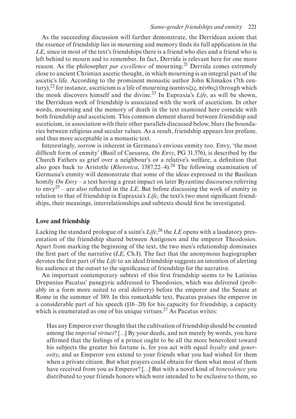<span id="page-4-0"></span>As the succeeding discussion will further demonstrate, the Derridean axiom that the essence of friendship lies in mourning and memory finds its full application in the *LE*, since in most of the text's friendships there is a friend who dies and a friend who is left behind to mourn and to remember. In fact, Derrida is relevant here for one more reason. As the philosopher *par excellence* of mourning,<sup>21</sup> Derrida comes extremely close to ancient Christian ascetic thought, in which mourning is an integral part of the ascetic's life. According to the prominent monastic author John Klimakos (7th century),<sup>22</sup> for instance, asceticism is a life of mourning (κατάνυξις, πένθος) through which the monk discovers himself and the divine.[23](#page-15-0) In Eupraxia's *Life*, as will be shown, the Derridean work of friendship is associated with the work of asceticism. In other words, mourning and the memory of death in the text examined here coincide with both friendship and asceticism. This common element shared between friendship and asceticism, in association with their other parallels discussed below, blurs the boundaries between religious and secular values. As a result, friendship appears less profane, and thus more acceptable in a monastic text.

Interestingly, sorrow is inherent in Germana's envious enmity too. Envy, 'the most difficult form of enmity' (Basil of Caesarea, *On Envy*, PG 31.376), is described by the Church Fathers as grief over a neighbour's or a relative's welfare, a definition that also goes back to Aristotle (*Rhetorica*, 1387.22–4).<sup>24</sup> The following examination of Germana's enmity will demonstrate that some of the ideas expressed in the Basilean homily *On Envy* – a text having a great impact on later Byzantine discourses referring to envy<sup>25</sup> – are also reflected in the *LE*. But before discussing the work of enmity in relation to that of friendship in Eupraxia's *Life*, the text's two most significant friendships, their meanings, interrelationships and subtexts should first be investigated.

#### **Love and friendship**

Lacking the standard prologue of a saint's *Life*, [26](#page-15-0) the *LE* opens with a laudatory presentation of the friendship shared between Antigonos and the emperor Theodosios. Apart from marking the beginning of the text, the two men's relationship dominates the first part of the narrative (*LE*, Ch.I). The fact that the anonymous hagiographer devotes the first part of the *Life* to an ideal friendship suggests an intention of alerting his audience at the outset to the significance of friendship for the narrative.

An important contemporary subtext of this first friendship seems to be Latinius Drepanius Pacatus' panegyric addressed to Theodosios, which was delivered (probably in a form more suited to oral delivery) before the emperor and the Senate at Rome in the summer of 389. In this remarkable text, Pacatus praises the emperor in a considerable part of his speech (§16–20) for his capacity for friendship, a capacity which is enumerated as one of his unique virtues.<sup>27</sup> As Pacatus writes:

Has any Emperor ever thought that the cultivation of friendship should be counted among the *imperial virtues*? […] By your deeds, and not merely by words, you have affirmed that the feelings of a prince ought to be all the more benevolent toward his subjects the greater his fortune is, for you act with equal *loyalty* and *generosity*, and as Emperor you extend to your friends what you had wished for them when a private citizen. But what prayers could obtain for them what most of them have received from you as Emperor? […] But with a novel kind of *benevolence* you distributed to your friends honors which were intended to be exclusive to them, so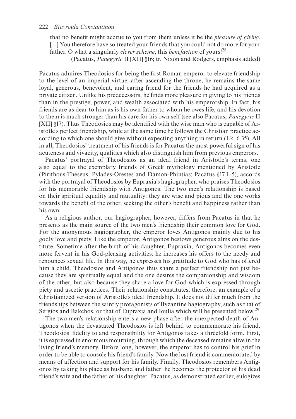<span id="page-5-0"></span>that no benefit might accrue to you from them unless it be the *pleasure of giving*. [...] You therefore have so treated your friends that you could not do more for your father. O what a singularly *clever scheme*, this *benefaction* of yours[!28](#page-15-0)

(Pacatus, *Panegyric* II [XII] §16; tr. Nixon and Rodgers, emphasis added)

Pacatus admires Theodosios for being the first Roman emperor to elevate friendship to the level of an imperial virtue: after ascending the throne, he remains the same loyal, generous, benevolent, and caring friend for the friends he had acquired as a private citizen. Unlike his predecessors, he finds more pleasure in giving to his friends than in the prestige, power, and wealth associated with his emperorship. In fact, his friends are as dear to him as is his own father to whom he owes life, and his devotion to them is much stronger than his care for his own self (see also Pacatus, *Panegyric* II [XII] §17). Thus Theodosios may be identified with the wise man who is capable of Aristotle's perfect friendship, while at the same time he follows the Christian practice according to which one should give without expecting anything in return (Lk. 6.35). All in all, Theodosios' treatment of his friends is for Pacatus the most powerful sign of his acuteness and vivacity, qualities which also distinguish him from previous emperors.

Pacatus' portrayal of Theodosios as an ideal friend in Aristotle's terms, one also equal to the exemplary friends of Greek mythology mentioned by Aristotle (Pirithous-Theseus, Pylades-Orestes and Damon-Phintias; Pacatus §17.1–5), accords with the portrayal of Theodosios by Eupraxia's hagiographer, who praises Theodosios for his memorable friendship with Antigonos. The two men's relationship is based on their spiritual equality and mutuality: they are wise and pious and the one works towards the benefit of the other, seeking the other's benefit and happiness rather than his own.

As a religious author, our hagiographer, however, differs from Pacatus in that he presents as the main source of the two men's friendship their common love for God. For the anonymous hagiographer, the emperor loves Antigonos mainly due to his godly love and piety. Like the emperor, Antigonos bestows generous alms on the destitute. Sometime after the birth of his daughter, Eupraxia, Antigonos becomes even more fervent in his God-pleasing activities: he increases his offers to the needy and renounces sexual life. In this way, he expresses his gratitude to God who has offered him a child. Theodosios and Antigonos thus share a perfect friendship not just because they are spiritually equal and the one desires the companionship and wisdom of the other, but also because they share a love for God which is expressed through piety and ascetic practices. Their relationship constitutes, therefore, an example of a Christianized version of Aristotle's ideal friendship. It does not differ much from the friendships between the saintly protagonists of Byzantine hagiography, such as that of Sergios and Bakchos, or that of Eupraxia and Ioulia which will be presented below.<sup>[29](#page-15-0)</sup>

The two men's relationship enters a new phase after the unexpected death of Antigonos when the devastated Theodosios is left behind to commemorate his friend. Theodosios' fidelity to and responsibility for Antigonos takes a threefold form. First, it is expressed in enormous mourning, through which the deceased remains alive in the living friend's memory. Before long, however, the emperor has to control his grief in order to be able to console his friend's family. Now the lost friend is commemorated by means of affection and support for his family. Finally, Theodosios remembers Antigonos by taking his place as husband and father: he becomes the protector of his dead friend's wife and the father of his daughter. Pacatus, as demonstrated earlier, eulogizes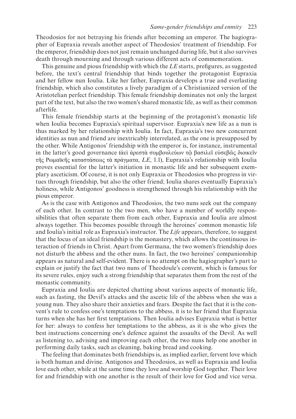Theodosios for not betraying his friends after becoming an emperor. The hagiographer of Eupraxia reveals another aspect of Theodosios' treatment of friendship. For the emperor, friendship does not just remain unchanged during life, but it also survives death through mourning and through various different acts of commemoration.

This genuine and pious friendship with which the *LE* starts, prefigures, as suggested before, the text's central friendship that binds together the protagonist Eupraxia and her fellow nun Ioulia. Like her father, Eupraxia develops a true and everlasting friendship, which also constitutes a lively paradigm of a Christianized version of the Aristotelian perfect friendship. This female friendship dominates not only the largest part of the text, but also the two women's shared monastic life, as well as their common afterlife.

This female friendship starts at the beginning of the protagonist's monastic life when Ioulia becomes Eupraxia's spiritual supervisor. Eupraxia's new life as a nun is thus marked by her relationship with Ioulia. In fact, Eupraxia's two new concurrent identities as nun and friend are inextricably interrelated, as the one is presupposed by the other. While Antigonos' friendship with the emperor is, for instance, instrumental in the latter's good governance (ἀεὶ ἀρεστὰ συμβουλεύων τῷ βασιλεῖ εὐσεβῶς διοικεῖν τῆς Ρωμαϊκῆς καταστάσεως τὰ πράγματα, *LE*, 1.1), Eupraxia's relationship with Ioulia proves essential for the latter's initiation in monastic life and her subsequent exemplary asceticism. Of course, it is not only Eupraxia or Theodosios who progress in virtues through friendship, but also the other friend; Ioulia shares eventually Eupraxia's holiness, while Antigonos' goodness is strengthened through his relationship with the pious emperor.

As is the case with Antigonos and Theodosios, the two nuns seek out the company of each other. In contrast to the two men, who have a number of worldly responsibilities that often separate them from each other, Eupraxia and Ioulia are almost always together. This becomes possible through the heroines' common monastic life and Ioulia's initial role as Eupraxia's instructor. The *Life* appears, therefore, to suggest that the locus of an ideal friendship is the monastery, which allows the continuous interaction of friends in Christ. Apart from Germana, the two women's friendship does not disturb the abbess and the other nuns. In fact, the two heroines' companionship appears as natural and self-evident. There is no attempt on the hagiographer's part to explain or justify the fact that two nuns of Theodoule's convent, which is famous for its severe rules, enjoy such a strong friendship that separates them from the rest of the monastic community.

Eupraxia and Ioulia are depicted chatting about various aspects of monastic life, such as fasting, the Devil's attacks and the ascetic life of the abbess when she was a young nun. They also share their anxieties and fears. Despite the fact that it is the convent's rule to confess one's temptations to the abbess, it is to her friend that Eupraxia turns when she has her first temptations. Then Ioulia advises Eupraxia what is better for her: always to confess her temptations to the abbess, as it is she who gives the best instructions concerning one's defence against the assaults of the Devil. As well as listening to, advising and improving each other, the two nuns help one another in performing daily tasks, such as cleaning, baking bread and cooking.

The feeling that dominates both friendships is, as implied earlier, fervent love which is both human and divine. Antigonos and Theodosios, as well as Eupraxia and Ioulia love each other, while at the same time they love and worship God together. Their love for and friendship with one another is the result of their love for God and vice versa.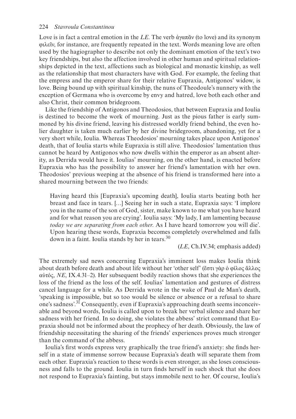<span id="page-7-0"></span>Love is in fact a central emotion in the *LE*. The verb άγαπᾶν (to love) and its synonym φιλεῖν, for instance, are frequently repeated in the text. Words meaning love are often used by the hagiographer to describe not only the dominant emotion of the text's two key friendships, but also the affection involved in other human and spiritual relationships depicted in the text, affections such as biological and monastic kinship, as well as the relationship that most characters have with God. For example, the feeling that the empress and the emperor share for their relative Eupraxia, Antigonos' widow, is love. Being bound up with spiritual kinship, the nuns of Theodoule's nunnery with the exception of Germana who is overcome by envy and hatred, love both each other and also Christ, their common bridegroom.

Like the friendship of Antigonos and Theodosios, that between Eupraxia and Ioulia is destined to become the work of mourning. Just as the pious father is early summoned by his divine friend, leaving his distressed worldly friend behind, the even holier daughter is taken much earlier by her divine bridegroom, abandoning, yet for a very short while, Ioulia. Whereas Theodosios' mourning takes place upon Antigonos' death, that of Ioulia starts while Eupraxia is still alive. Theodosios' lamentation thus cannot be heard by Antigonos who now dwells within the emperor as an absent alterity, as Derrida would have it. Ioulias' mourning, on the other hand, is enacted before Eupraxia who has the possibility to answer her friend's lamentation with her own. Theodosios' previous weeping at the absence of his friend is transformed here into a shared mourning between the two friends:

Having heard this [Eupraxia's upcoming death], Ioulia starts beating both her breast and face in tears. […] Seeing her in such a state, Eupraxia says: 'I implore you in the name of the son of God, sister, make known to me what you have heard and for what reason you are crying'. Ioulia says: 'My lady, I am lamenting because *today we are separating from each other*. As I have heard tomorrow you will die'. Upon hearing these words, Eupraxia becomes completely overwhelmed and falls down in a faint. Ioulia stands by her in tears.<sup>30</sup>

(*LE*, Ch.IV.34; emphasis added)

The extremely sad news concerning Eupraxia's imminent loss makes Ioulia think about death before death and about life without her 'other self' (ἔστι γὰρ ὁ φίλος ἄλλος αὐτός, *NE*, IX.4.31–2). Her subsequent bodily reaction shows that she experiences the loss of the friend as the loss of the self. Ioulias' lamentation and gestures of distress cancel language for a while. As Derrida wrote in the wake of Paul de Man's death, 'speaking is impossible, but so too would be silence or absence or a refusal to share one's sadness'[.31](#page-15-0) Consequently, even if Eupraxia's approaching death seems inconceivable and beyond words, Ioulia is called upon to break her verbal silence and share her sadness with her friend. In so doing, she violates the abbess' strict command that Eupraxia should not be informed about the prophecy of her death. Obviously, the law of friendship necessitating the sharing of the friends' experiences proves much stronger than the command of the abbess.

Ioulia's first words express very graphically the true friend's anxiety: she finds herself in a state of immense sorrow because Eupraxia's death will separate them from each other. Eupraxia's reaction to these words is even stronger, as she loses consciousness and falls to the ground. Ioulia in turn finds herself in such shock that she does not respond to Eupraxia's fainting, but stays immobile next to her. Of course, Ioulia's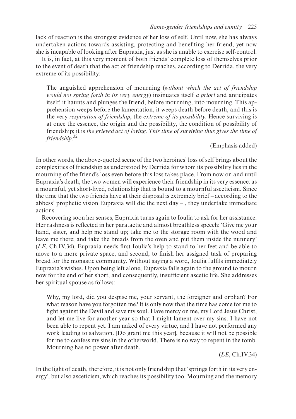<span id="page-8-0"></span>lack of reaction is the strongest evidence of her loss of self. Until now, she has always undertaken actions towards assisting, protecting and benefiting her friend, yet now she is incapable of looking after Eupraxia, just as she is unable to exercise self-control.

It is, in fact, at this very moment of both friends' complete loss of themselves prior to the event of death that the act of friendship reaches, according to Derrida, the very extreme of its possibility:

The anguished apprehension of mourning (*without which the act of friendship would not spring forth in its very energy*) insinuates itself *a priori* and anticipates itself; it haunts and plunges the friend, before mourning, into mourning. This apprehension weeps before the lamentation, it weeps death before death, and this is the very *respiration of friendship*, the *extreme of its possibility*. Hence surviving is at once the essence, the origin and the possibility, the condition of possibility of friendship; it is *the grieved act of loving*. *This time of surviving thus gives the time of friendship*. [32](#page-15-0)

(Emphasis added)

In other words, the above-quoted scene of the two heroines' loss of self brings about the complexities of friendship as understood by Derrida for whom its possibility lies in the mourning of the friend's loss even before this loss takes place. From now on and until Eupraxia's death, the two women will experience their friendship in its very essence: as a mournful, yet short-lived, relationship that is bound to a mournful asceticism. Since the time that the two friends have at their disposal is extremely brief – according to the abbess' prophetic vision Eupraxia will die the next day – , they undertake immediate actions.

Recovering soon her senses, Eupraxia turns again to Ioulia to ask for her assistance. Her rashness is reflected in her paratactic and almost breathless speech: 'Give me your hand, sister, and help me stand up; take me to the storage room with the wood and leave me there; and take the breads from the oven and put them inside the nunnery' (*LE*, Ch.IV.34). Eupraxia needs first Ioulia's help to stand to her feet and be able to move to a more private space, and second, to finish her assigned task of preparing bread for the monastic community. Without saying a word, Ioulia fulfils immediately Eupraxia's wishes. Upon being left alone, Eupraxia falls again to the ground to mourn now for the end of her short, and consequently, insufficient ascetic life. She addresses her spiritual spouse as follows:

Why, my lord, did you despise me, your servant, the foreigner and orphan? For what reason have you forgotten me? It is only now that the time has come for me to fight against the Devil and save my soul. Have mercy on me, my Lord Jesus Christ, and let me live for another year so that I might lament over my sins. I have not been able to repent yet. I am naked of every virtue, and I have not performed any work leading to salvation. [Do grant me this year], because it will not be possible for me to confess my sins in the otherworld. There is no way to repent in the tomb. Mourning has no power after death.

(*LE*, Ch.IV.34)

In the light of death, therefore, it is not only friendship that 'springs forth in its very energy', but also asceticism, which reaches its possibility too. Mourning and the memory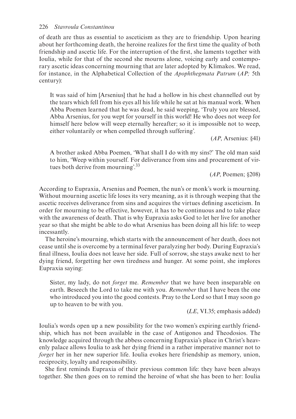<span id="page-9-0"></span>of death are thus as essential to asceticism as they are to friendship. Upon hearing about her forthcoming death, the heroine realizes for the first time the quality of both friendship and ascetic life. For the interruption of the first, she laments together with Ioulia, while for that of the second she mourns alone, voicing early and contemporary ascetic ideas concerning mourning that are later adopted by Klimakos. We read, for instance, in the Alphabetical Collection of the *Apophthegmata Patrum* (*AP;* 5th century):

It was said of him [Arsenius] that he had a hollow in his chest channelled out by the tears which fell from his eyes all his life while he sat at his manual work. When Abba Poemen learned that he was dead, he said weeping, 'Truly you are blessed, Abba Arsenius, for you wept for yourself in this world! He who does not weep for himself here below will weep eternally hereafter; so it is impossible not to weep, either voluntarily or when compelled through suffering'.

(*AP*, Arsenius: §41)

A brother asked Abba Poemen, 'What shall I do with my sins?' The old man said to him, 'Weep within yourself. For deliverance from sins and procurement of virtues both derive from mourning'.<sup>33</sup>

(*AP*, Poemen; §208)

According to Eupraxia, Arsenius and Poemen, the nun's or monk's work is mourning. Without mourning ascetic life loses its very meaning, as it is through weeping that the ascetic receives deliverance from sins and acquires the virtues defining asceticism. In order for mourning to be effective, however, it has to be continuous and to take place with the awareness of death. That is why Eupraxia asks God to let her live for another year so that she might be able to do what Arsenius has been doing all his life: to weep incessantly.

The heroine's mourning, which starts with the announcement of her death, does not cease until she is overcome by a terminal fever paralyzing her body. During Eupraxia's final illness, Ioulia does not leave her side. Full of sorrow, she stays awake next to her dying friend, forgetting her own tiredness and hunger. At some point, she implores Eupraxia saying:

Sister, my lady, do not *forget* me. *Remember* that we have been inseparable on earth. Beseech the Lord to take me with you. *Remember* that I have been the one who introduced you into the good contests. Pray to the Lord so that I may soon go up to heaven to be with you.

(*LE*, VI.35; emphasis added)

Ioulia's words open up a new possibility for the two women's expiring earthly friendship, which has not been available in the case of Antigonos and Theodosios. The knowledge acquired through the abbess concerning Eupraxia's place in Christ's heavenly palace allows Ioulia to ask her dying friend in a rather imperative manner not to *forget* her in her new superior life. Ioulia evokes here friendship as memory, union, reciprocity, loyalty and responsibility.

She first reminds Eupraxia of their previous common life: they have been always together. She then goes on to remind the heroine of what she has been to her: Ioulia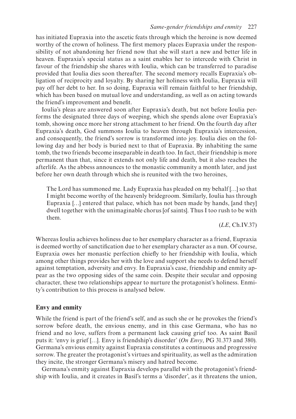has initiated Eupraxia into the ascetic feats through which the heroine is now deemed worthy of the crown of holiness. The first memory places Eupraxia under the responsibility of not abandoning her friend now that she will start a new and better life in heaven. Eupraxia's special status as a saint enables her to intercede with Christ in favour of the friendship she shares with Ioulia, which can be transferred to paradise provided that Ioulia dies soon thereafter. The second memory recalls Eupraxia's obligation of reciprocity and loyalty. By sharing her holiness with Ioulia, Eupraxia will pay off her debt to her. In so doing, Eupraxia will remain faithful to her friendship, which has been based on mutual love and understanding, as well as on acting towards the friend's improvement and benefit.

Ioulia's pleas are answered soon after Eupraxia's death, but not before Ioulia performs the designated three days of weeping, which she spends alone over Eupraxia's tomb, showing once more her strong attachment to her friend. On the fourth day after Eupraxia's death, God summons Ioulia to heaven through Eupraxia's intercession, and consequently, the friend's sorrow is transformed into joy. Ioulia dies on the following day and her body is buried next to that of Eupraxia. By inhabiting the same tomb, the two friends become inseparable in death too. In fact, their friendship is more permanent than that, since it extends not only life and death, but it also reaches the afterlife. As the abbess announces to the monastic community a month later, and just before her own death through which she is reunited with the two heroines,

The Lord has summoned me. Lady Eupraxia has pleaded on my behalf […] so that I might become worthy of the heavenly bridegroom. Similarly, Ioulia has through Eupraxia […] entered that palace, which has not been made by hands, [and they] dwell together with the unimaginable chorus [of saints]. Thus I too rush to be with them.

(*LE*, Ch.IV.37)

Whereas Ioulia achieves holiness due to her exemplary character as a friend, Eupraxia is deemed worthy of sanctification due to her exemplary character as a nun. Of course, Eupraxia owes her monastic perfection chiefly to her friendship with Ioulia, which among other things provides her with the love and support she needs to defend herself against temptation, adversity and envy. In Eupraxia's case, friendship and enmity appear as the two opposing sides of the same coin. Despite their secular and opposing character, these two relationships appear to nurture the protagonist's holiness. Enmity's contribution to this process is analysed below.

#### **Envy and enmity**

While the friend is part of the friend's self, and as such she or he provokes the friend's sorrow before death, the envious enemy, and in this case Germana, who has no friend and no love, suffers from a permanent lack causing grief too. As saint Basil puts it: 'envy is grief […]. Envy is friendship's disorder' (*On Envy*, PG 31.373 and 380). Germana's envious enmity against Eupraxia constitutes a continuous and progressive sorrow. The greater the protagonist's virtues and spirituality, as well as the admiration they incite, the stronger Germana's misery and hatred become.

Germana's enmity against Eupraxia develops parallel with the protagonist's friendship with Ioulia, and it creates in Basil's terms a 'disorder', as it threatens the union,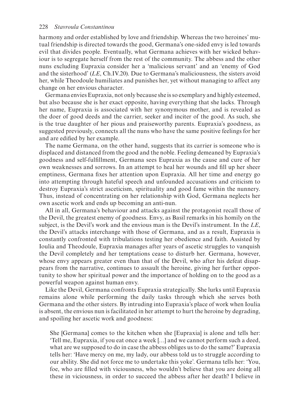harmony and order established by love and friendship. Whereas the two heroines' mutual friendship is directed towards the good, Germana's one-sided envy is led towards evil that divides people. Eventually, what Germana achieves with her wicked behaviour is to segregate herself from the rest of the community. The abbess and the other nuns excluding Eupraxia consider her a 'malicious servant' and an 'enemy of God and the sisterhood' (*LE*, Ch.IV.20). Due to Germana's maliciousness, the sisters avoid her, while Theodoule humiliates and punishes her, yet without managing to affect any change on her envious character.

Germana envies Eupraxia, not only because she is so exemplary and highly esteemed, but also because she is her exact opposite, having everything that she lacks. Through her name, Eupraxia is associated with her synonymous mother, and is revealed as the doer of good deeds and the carrier, seeker and inciter of the good. As such, she is the true daughter of her pious and praiseworthy parents. Eupraxia's goodness, as suggested previously, connects all the nuns who have the same positive feelings for her and are edified by her example.

The name Germana, on the other hand, suggests that its carrier is someone who is displaced and distanced from the good and the noble. Feeling demeaned by Eupraxia's goodness and self-fulfillment, Germana sees Eupraxia as the cause and cure of her own weaknesses and sorrows. In an attempt to heal her wounds and fill up her sheer emptiness, Germana fixes her attention upon Eupraxia. All her time and energy go into attempting through hateful speech and unfounded accusations and criticism to destroy Eupraxia's strict asceticism, spirituality and good fame within the nunnery. Thus, instead of concentrating on her relationship with God, Germana neglects her own ascetic work and ends up becoming an anti-nun.

All in all, Germana's behaviour and attacks against the protagonist recall those of the Devil, the greatest enemy of goodness. Envy, as Basil remarks in his homily on the subject, is the Devil's work and the envious man is the Devil's instrument. In the *LE*, the Devil's attacks interchange with those of Germana, and as a result, Eupraxia is constantly confronted with tribulations testing her obedience and faith. Assisted by Ioulia and Theodoule, Eupraxia manages after years of ascetic struggles to vanquish the Devil completely and her temptations cease to disturb her. Germana, however, whose envy appears greater even than that of the Devil, who after his defeat disappears from the narrative, continues to assault the heroine, giving her further opportunity to show her spiritual power and the importance of holding on to the good as a powerful weapon against human envy.

Like the Devil, Germana confronts Eupraxia strategically. She lurks until Eupraxia remains alone while performing the daily tasks through which she serves both Germana and the other sisters. By intruding into Eupraxia's place of work when Ioulia is absent, the envious nun is facilitated in her attempt to hurt the heroine by degrading, and spoiling her ascetic work and goodness:

She [Germana] comes to the kitchen when she [Eupraxia] is alone and tells her: 'Tell me, Eupraxia, if you eat once a week […] and we cannot perform such a deed, what are we supposed to do in case the abbess obliges us to do the same?' Eupraxia tells her: 'Have mercy on me, my lady, our abbess told us to struggle according to our ability. She did not force me to undertake this yoke'. Germana tells her: 'You, foe, who are filled with viciousness, who wouldn't believe that you are doing all these in viciousness, in order to succeed the abbess after her death? I believe in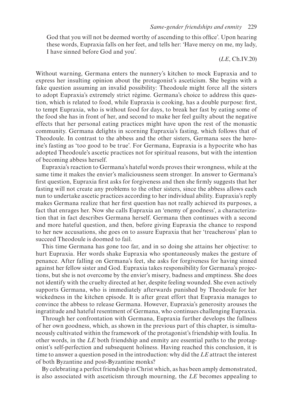God that you will not be deemed worthy of ascending to this office'. Upon hearing these words, Eupraxia falls on her feet, and tells her: 'Have mercy on me, my lady, I have sinned before God and you'.

(*LE*, Ch.IV.20)

Without warning, Germana enters the nunnery's kitchen to mock Eupraxia and to express her insulting opinion about the protagonist's asceticism. She begins with a fake question assuming an invalid possibility: Theodoule might force all the sisters to adopt Eupraxia's extremely strict régime. Germana's choice to address this question, which is related to food, while Eupraxia is cooking, has a double purpose: first, to tempt Eupraxia, who is without food for days, to break her fast by eating some of the food she has in front of her, and second to make her feel guilty about the negative effects that her personal eating practices might have upon the rest of the monastic community. Germana delights in scorning Eupraxia's fasting, which follows that of Theodoule. In contrast to the abbess and the other sisters, Germana sees the heroine's fasting as 'too good to be true'. For Germana, Eupraxia is a hypocrite who has adopted Theodoule's ascetic practices not for spiritual reasons, but with the intention of becoming abbess herself.

Eupraxia's reaction to Germana's hateful words proves their wrongness, while at the same time it makes the envier's maliciousness seem stronger. In answer to Germana's first question, Eupraxia first asks for forgiveness and then she firmly suggests that her fasting will not create any problems to the other sisters, since the abbess allows each nun to undertake ascetic practices according to her individual ability. Eupraxia's reply makes Germana realize that her first question has not really achieved its purposes, a fact that enrages her. Now she calls Eupraxia an 'enemy of goodness', a characterization that in fact describes Germana herself. Germana then continues with a second and more hateful question, and then, before giving Eupraxia the chance to respond to her new accusations, she goes on to assure Eupraxia that her 'treacherous' plan to succeed Theodoule is doomed to fail.

This time Germana has gone too far, and in so doing she attains her objective: to hurt Eupraxia. Her words shake Eupraxia who spontaneously makes the gesture of penance. After falling on Germana's feet, she asks for forgiveness for having sinned against her fellow sister and God. Eupraxia takes responsibility for Germana's projections, but she is not overcome by the envier's misery, badness and emptiness. She does not identify with the cruelty directed at her, despite feeling wounded. She even actively supports Germana, who is immediately afterwards punished by Theodoule for her wickedness in the kitchen episode. It is after great effort that Eupraxia manages to convince the abbess to release Germana. However, Eupraxia's generosity arouses the ingratitude and hateful resentment of Germana, who continues challenging Eupraxia.

Through her confrontation with Germana, Eupraxia further develops the fullness of her own goodness, which, as shown in the previous part of this chapter, is simultaneously cultivated within the framework of the protagonist's friendship with Ioulia. In other words, in the *LE* both friendship and enmity are essential paths to the protagonist's self-perfection and subsequent holiness. Having reached this conclusion, it is time to answer a question posed in the introduction: why did the *LE* attract the interest of both Byzantine and post-Byzantine monks?

By celebrating a perfect friendship in Christ which, as has been amply demonstrated, is also associated with asceticism through mourning, the *LE* becomes appealing to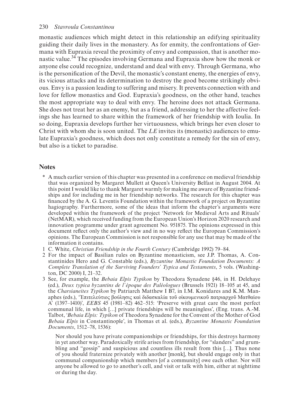<span id="page-13-0"></span>monastic audiences which might detect in this relationship an edifying spirituality guiding their daily lives in the monastery. As for enmity, the confrontations of Germana with Eupraxia reveal the proximity of envy and compassion, that is another monastic value[.34](#page-15-0) The episodes involving Germana and Eupraxia show how the monk or anyone else could recognize, understand and deal with envy. Through Germana, who is the personification of the Devil, the monastic's constant enemy, the energies of envy, its vicious attacks and its determination to destroy the good become strikingly obvious. Envy is a passion leading to suffering and misery. It prevents connection with and love for fellow monastics and God. Eupraxia's goodness, on the other hand, teaches the most appropriate way to deal with envy. The heroine does not attack Germana. She does not treat her as an enemy, but as a friend, addressing to her the affective feelings she has learned to share within the framework of her friendship with Ioulia. In so doing, Eupraxia develops further her virtuousness, which brings her even closer to Christ with whom she is soon united. The *LE* invites its (monastic) audiences to emulate Eupraxia's goodness, which does not only constitute a remedy for the sin of envy, but also is a ticket to paradise.

### **Notes**

- [\\*](#page-1-0) A much earlier version of this chapter was presented in a conference on medieval friendship that was organized by Margaret Mullett at Queen's University Belfast in August 2004. At this point I would like to thank Margaret warmly for making me aware of Byzantine friendships and for including me in her friendship networks. The research for this chapter was financed by the A. G. Leventis Foundation within the framework of a project on Byzantine hagiography. Furthermore, some of the ideas that inform the chapter's arguments were developed within the framework of the project 'Network for Medieval Arts and Rituals' (NetMAR), which received funding from the European Union's Horizon 2020 research and innovation programme under grant agreement No. 951875. The opinions expressed in this document reflect only the author's view and in no way reflect the European Commission's opinions. The European Commission is not responsible for any use that may be made of the information it contains.
- [1](#page-1-0) C. White, *Christian Friendship in the Fourth Century* (Cambridge 1992) 79–84.
- [2](#page-1-0) For the impact of Basilian rules on Byzantine monasticism, see J.P. Thomas, A. Constantinides Hero and G. Constable (eds.), *Byzantine Monastic Foundation Documents: A Complete Translation of the Surviving Founders' Typica and Testaments*, 5 vols. (Washington, DC 2000) I, 21–32.
- [3](#page-1-0) See, for example, the *Bebaia Elpis Typikon* by Theodora Synadene §46, in H. Delehaye (ed.), *Deux typica byzantins de l'époque des Paléologues* (Brussels 1921) 18–105 at 45, and the *Charsianeites Typikon* by Patriarch Matthew I B7, in I.M. Konidares and K.M. Manaphes (eds.), 'Ἐπιτελεύτιος βούλησις καὶ διδασκαλία τοῦ οἰκουμενικοῦ πατριαρχοῦ Ματθαίου Α' (1397–1410)', *EEBS* 45 (1981–82) 462–515: 'Preserve with great care the most perfect communal life, in which […] private friendships will be meaningless', (Eng. trans. A.-M. Talbot, '*Bebaia Elpis: Typikon* of Theodora Synadene for the Convent of the Mother of God *Bebaia Elpis* in Constantinople', in Thomas et al. (eds.), *Byzantine Monastic Foundation Documents*, 1512–78, 1536):

Nor should you have private companionships or friendships, for this destroys harmony in yet another way. Paradoxically strife arises from friendship, for "slanders" and grumbling and "gossip" and suspicious and countless ills result from this […]. Thus none of you should fraternize privately with another [monk], but should engage only in that communal companionship which members [of a community] owe each other. Nor will anyone be allowed to go to another's cell, and visit or talk with him, either at nighttime or during the day.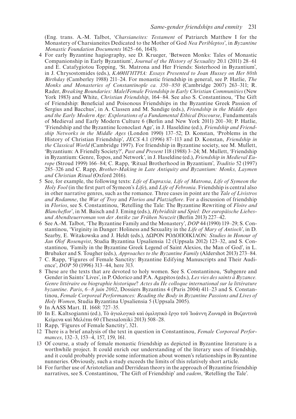<span id="page-14-0"></span> (Eng. trans. A.-M. Talbot, '*Charsianeites: Testament* of Patriarch Matthew I for the Monastery of Charsianeites Dedicated to the Mother of God *Nea Peribleptos*', in *Byzantine Monastic Foundation Documents* 1625–66, 1643).

- [4](#page-1-0) For early Byzantine hagiography, see D. Krueger, 'Between Monks: Tales of Monastic Companionship in Early Byzantium', *Journal of the History of Sexuality* 20.1 (2011) 28–61 and E. Catafygiotou Topping, 'St. Matrona and Her Friends: Sisterhood in Byzantium', in J. Chrysostomides (eds.), *ΚΑΘΗΓΗΤΡΙΑ: Essays Presented to Joan Hussey on Her 80th Birthday* (Camberley 1988) 211–24. For monastic friendship in general, see P. Hatlie, *The Monks and Monasteries of Constantinople ca. 350–850* (Cambridge 2007) 263–311; R. Rader, *Breaking Boundaries: Male/Female Friendship in Early Christian Communities* (New York 1983) and White, *Christian Friendship*, 164–84. See also S. Constantinou, 'The Gift of Friendship: Beneficial and Poisonous Friendships in the Byzantine Greek Passion of Sergius and Bacchus', in A. Classen and M. Sandige (eds.), *Friendship in the Middle Ages and the Early Modern Age: Explorations of a Fundamental Ethical Discourse*, Fundamentals of Medieval and Early Modern Culture 6 (Berlin and New York 2011) 201–30; P. Hatlie, 'Friendship and the Byzantine Iconoclast Age', in J. Haseldine (ed.), *Friendship and Friendship Networks in the Middle Ages* (London 1990) 137–52; D. Konstan, 'Problems in the History of Christian Friendship', *JECS* 4.1 (1996) 87–113 and D. Konstan, *Friendship in the Classical World* (Cambridge 1997). For friendship in Byzantine society, see M. Mullett, 'Byzantium: A Friendly Society?', *Past and Present* 118 (1988) 3–24; M. Mullett, 'Friendship in Byzantium: Genre, Topos, and Network', in J. Haseldine (ed.), *Friendship in Medieval Europe* (Stroud 1999) 166–84; C. Rapp, 'Ritual Brotherhood in Byzantium', *Traditio* 52 (1997) 285–326 and C. Rapp, *Brother-Making in Late Antiquity and Byzantium: Monks, Laymen and Christian Ritual* (Oxford 2016).
- [5](#page-1-0) See, for example, the following texts: *Life of Eupraxia, Life of Matrona*, *Life of Symeon the Holy Fool* (in the first part of Symeon's *Life*), and *Life of Febronia*. Friendship is central also in other narrative genres, such as the romance. Three cases in point are the *Tale of Livistros and Rodamne*, the *War of Troy* and *Florios and Platziaflore*. For a discussion of friendship in *Florios*, see S. Constantinou, 'Retelling the Tale: The Byzantine Rewriting of *Floire and Blancheflor*', in M. Baisch and J. Eming (eds.), *Hybridität und Spiel: Der europäische Liebesund Abendteuerroman von der Antike zur Frühen Neuzeit* (Berlin 2013) 227–42.
- [6](#page-1-0) See A.-M. Talbot, 'The Byzantine Family and the Monastery', *DOP* 44 (1990) 119–29; S. Constantinou, 'Virginity in Danger: Holiness and Sexuality in the *Life of Mary of Antioch*', in D. Searby, E. Witakowska and J. Heldt (eds.), ΔΩΡΟΝ ΡΟΔΟΠΟΙΚΙΛΟΝ*: Studies in Honour of Jan Olof Rosenqvist*, Studia Byzantina Upsaliensia 12 (Uppsala 2012) 123–32, and S. Constantinou, 'Family in the Byzantine Greek Legend of Saint Alexios, the Man of God', in L. Brubaker and S. Tougher (eds.), *Approaches to the Byzantine Family* (Aldershot 2013) 273–84.
- [7](#page-1-0) C. Rapp, 'Figures of Female Sanctity: Byzantine Edifying Manuscripts and Their Audience', *DOP* 50 (1996) 313–44, here 313.
- [8](#page-1-0) These are the texts that are devoted to holy women. See S. Constantinou, 'Subgenre and Gender in Saints' Lives', in P. Odorico and P.A. Agapitos (eds.), *Les vies des saints à Byzance. Genre littéraire ou biographie historique*? *Actes du IIe colloque international sur la littérature byzantine*. *Paris*, *6–8 juin 2002*, Dossiers Byzantins 4 (Paris 2004) 411–23 and S. Constantinou, *Female Corporeal Performances: Reading the Body in Byzantine Passions and Lives of Holy Women*, Studia Byzantina Upsaliensia 5 (Uppsala 2005).
- [9](#page-1-0) In AASS Mart. II. 1668: 727–35.
- [10](#page-2-0) In E. Kaltsogianni (ed.), Τὸ ἁγιολογικὸ καὶ ὁμιλητικὸ ἔργο τοῦ Ἰωάννη Ζωναρᾶ in Βυζαντινὰ Κείμενα καὶ Μελέται 60 (Thessaloniki 2013) 508–28.
- [11](#page-2-0) Rapp, 'Figures of Female Sanctity', 321.
- [12](#page-2-0) There is a brief analysis of the text in question in Constantinou, *Female Corporeal Performances*, 132–3, 153–4, 157, 159, 161.
- [13](#page-2-0) Of course, a study of female monastic friendship as depicted in Byzantine literature is a worthwhile project. It could enrich our understanding of the literary uses of friendship, and it could probably provide some information about women's relationships in Byzantine nunneries. Obviously, such a study exceeds the limits of this relatively short article.
- [14](#page-3-0) For further use of Aristotelian and Derridean theory in the approach of Byzantine friendship narratives, see S. Constantinou, 'The Gift of Friendship' and *eadem*, 'Retelling the Tale'.